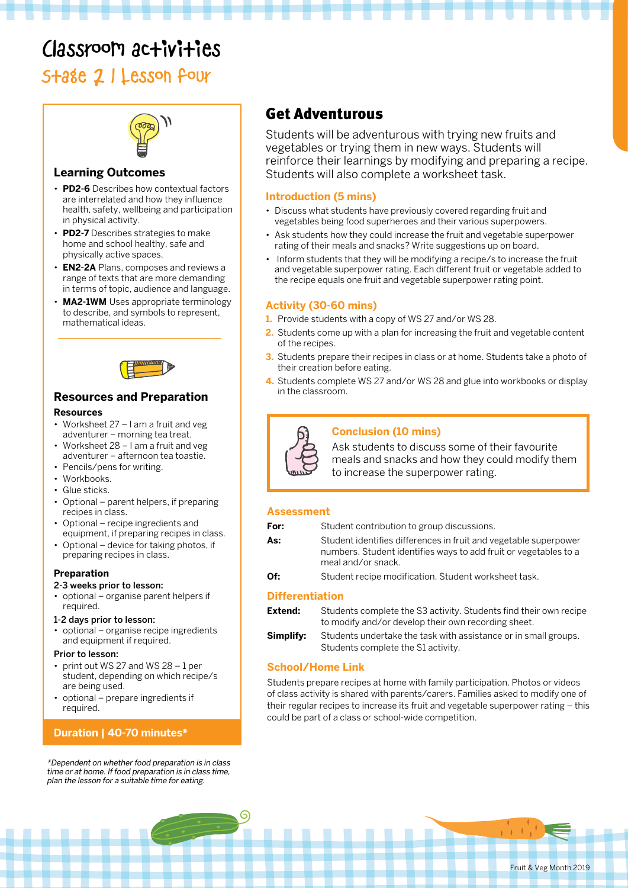# Classroom activities

# Stage 2 | Lesson four



#### **Learning Outcomes**

- **PD2-6** Describes how contextual factors are interrelated and how they influence health, safety, wellbeing and participation in physical activity.
- **PD2-7** Describes strategies to make home and school healthy, safe and physically active spaces.
- **EN2-2A** Plans, composes and reviews a range of texts that are more demanding in terms of topic, audience and language.
- **MA2-1WM** Uses appropriate terminology to describe, and symbols to represent, mathematical ideas.



### **Resources and Preparation**

#### **Resources**

- Worksheet 27 I am a fruit and veg adventurer – morning tea treat.
- Worksheet 28 I am a fruit and veg adventurer – afternoon tea toastie.
- Pencils/pens for writing.
- Workbooks.
- Glue sticks.
- Optional parent helpers, if preparing recipes in class.
- Optional recipe ingredients and equipment, if preparing recipes in class.
- Optional device for taking photos, if preparing recipes in class.

#### **Preparation**

#### 2-3 weeks prior to lesson:

• optional – organise parent helpers if required.

#### 1-2 days prior to lesson:

• optional – organise recipe ingredients and equipment if required.

#### Prior to lesson:

- print out WS 27 and WS 28 1 per student, depending on which recipe/s are being used.
- optional prepare ingredients if required.

### **Duration | 40-70 minutes\***

\*Dependent on whether food preparation is in class time or at home. If food preparation is in class time, plan the lesson for a suitable time for eating.

## Get Adventurous

Students will be adventurous with trying new fruits and vegetables or trying them in new ways. Students will reinforce their learnings by modifying and preparing a recipe. Students will also complete a worksheet task.

#### **Introduction (5 mins)**

- Discuss what students have previously covered regarding fruit and vegetables being food superheroes and their various superpowers.
- Ask students how they could increase the fruit and vegetable superpower rating of their meals and snacks? Write suggestions up on board.
- Inform students that they will be modifying a recipe/s to increase the fruit and vegetable superpower rating. Each different fruit or vegetable added to the recipe equals one fruit and vegetable superpower rating point.

#### **Activity (30-60 mins)**

- **1.** Provide students with a copy of WS 27 and/or WS 28.
- **2.** Students come up with a plan for increasing the fruit and vegetable content of the recipes.
- **3.** Students prepare their recipes in class or at home. Students take a photo of their creation before eating.
- **4.** Students complete WS 27 and/or WS 28 and glue into workbooks or display in the classroom.



#### **Conclusion (10 mins)**

Ask students to discuss some of their favourite meals and snacks and how they could modify them to increase the superpower rating.

#### **Assessment**

| For:                   | Student contribution to group discussions.                                                                                                                 |
|------------------------|------------------------------------------------------------------------------------------------------------------------------------------------------------|
| As:                    | Student identifies differences in fruit and vegetable superpower<br>numbers. Student identifies ways to add fruit or vegetables to a<br>meal and/or snack. |
| Of:                    | Student recipe modification. Student worksheet task.                                                                                                       |
| <b>Differentiation</b> |                                                                                                                                                            |

#### **Differentiation**

| Extend:   | Students complete the S3 activity. Students find their own recipe<br>to modify and/or develop their own recording sheet. |
|-----------|--------------------------------------------------------------------------------------------------------------------------|
| Simplifv: | Students undertake the task with assistance or in small groups.<br>Students complete the S1 activity.                    |

#### **School/Home Link**

Students prepare recipes at home with family participation. Photos or videos of class activity is shared with parents/carers. Families asked to modify one of their regular recipes to increase its fruit and vegetable superpower rating – this could be part of a class or school-wide competition.

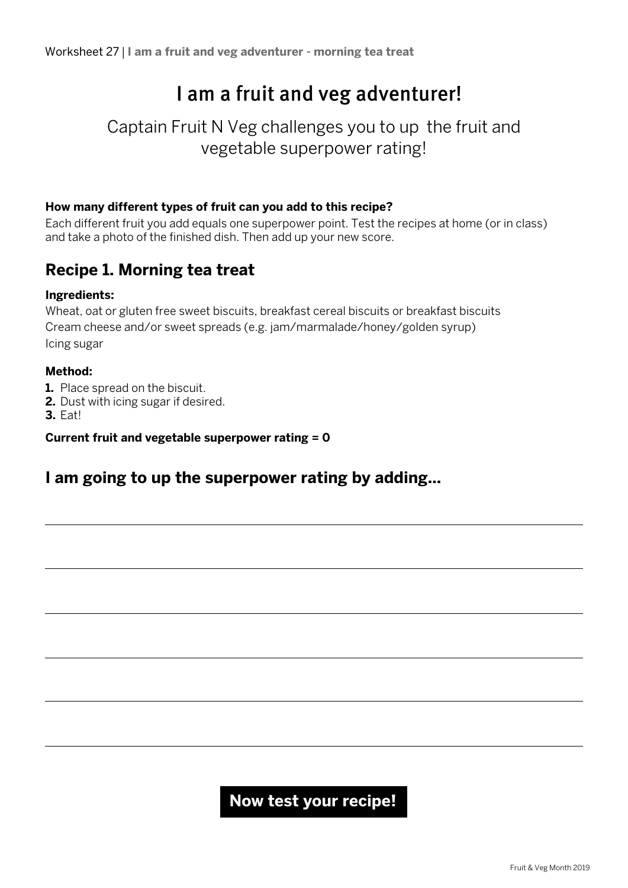# I am a fruit and veg adventurer!

## Captain Fruit N Veg challenges you to up the fruit and vegetable superpower rating!

### **How many different types of fruit can you add to this recipe?**

Each different fruit you add equals one superpower point. Test the recipes at home (or in class) and take a photo of the finished dish. Then add up your new score.

## **Recipe 1. Morning tea treat**

### **Ingredients:**

Wheat, oat or gluten free sweet biscuits, breakfast cereal biscuits or breakfast biscuits Cream cheese and/or sweet spreads (e.g. jam/marmalade/honey/golden syrup) Icing sugar

### **Method:**

- **1.** Place spread on the biscuit.
- **2.** Dust with icing sugar if desired.

**3.** Eat!

**Current fruit and vegetable superpower rating = 0**

## **I am going to up the superpower rating by adding...**

## **Now test your recipe!**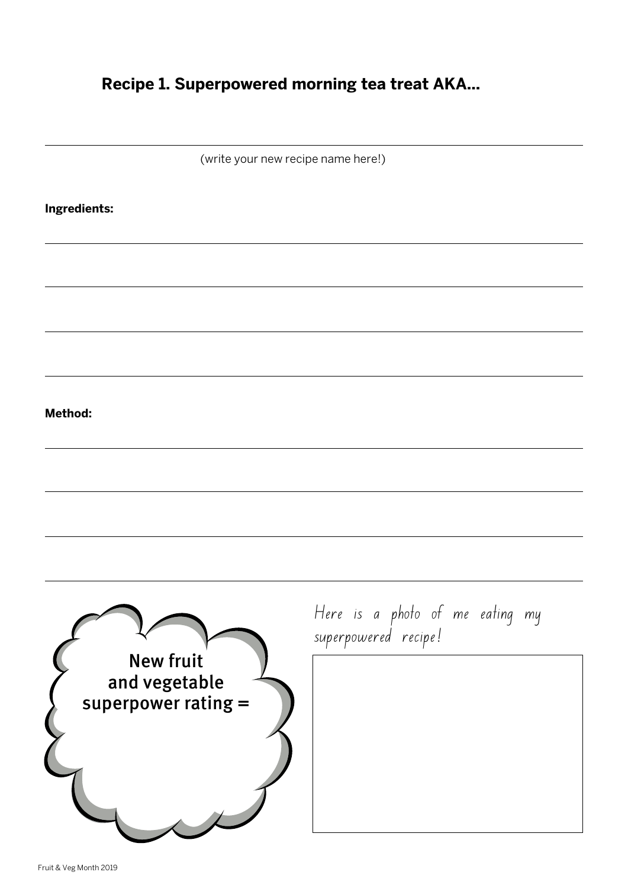## **Recipe 1. Superpowered morning tea treat AKA...**

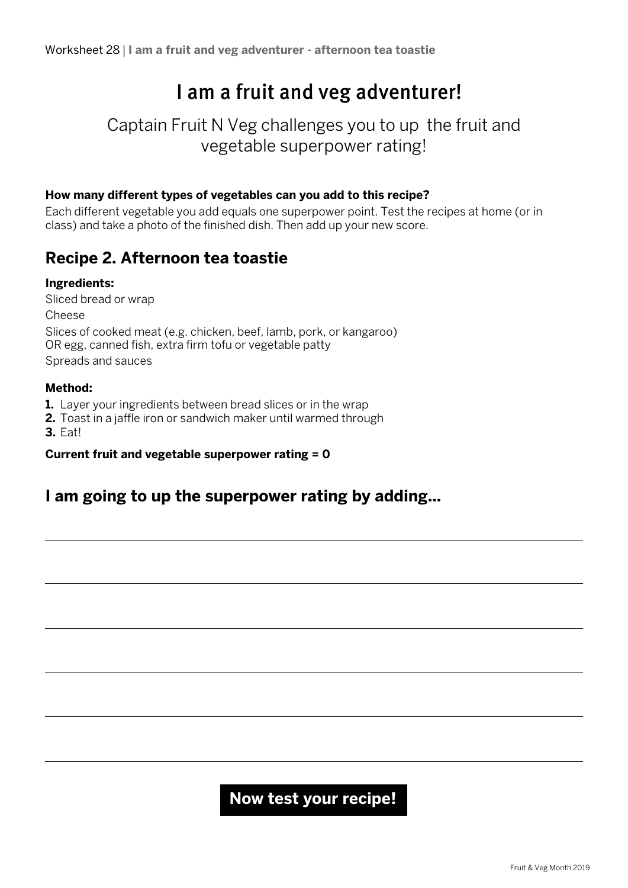# I am a fruit and veg adventurer!

## Captain Fruit N Veg challenges you to up the fruit and vegetable superpower rating!

### **How many different types of vegetables can you add to this recipe?**

Each different vegetable you add equals one superpower point. Test the recipes at home (or in class) and take a photo of the finished dish. Then add up your new score.

## **Recipe 2. Afternoon tea toastie**

### **Ingredients:**

Sliced bread or wrap Cheese Slices of cooked meat (e.g. chicken, beef, lamb, pork, or kangaroo) OR egg, canned fish, extra firm tofu or vegetable patty Spreads and sauces

### **Method:**

**1.** Layer your ingredients between bread slices or in the wrap

**2.** Toast in a jaffle iron or sandwich maker until warmed through

**3.** Eat!

### **Current fruit and vegetable superpower rating = 0**

## **I am going to up the superpower rating by adding...**

## **Now test your recipe!**